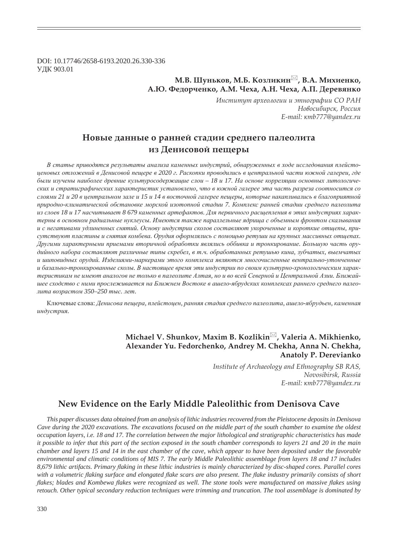DOI: 10.17746/2658-6193.2020.26.330-336 ɍȾɄ 903.01

## **Ǻ.ǰ. ȆȡțȪȘȜȐ, Ǻ.ǯ. ǸȜȕșȖȘȖț , ǰ.Ǯ. ǺȖȣȖȓțȘȜ,**   $A.HO.$  Федорченко, А.М. Чеха, А.Н. Чеха, А.П. Деревянко

Институт археологии и этнографии СО РАН  $H$ овосибирск, Россия  $E$ <sup>*-mail: κmb777@yandex.ru*</sup>

# Новые данные о ранней стадии среднего палеолита из Денисовой пещеры

В статье приводятся результаты анализа каменных индустрий, обнаруженных в ходе исследования плейстоценовых отложений в Денисовой пещере в 2020 г. Раскопки проводились в центральной части южной галереи, где были изучены наиболее древние культуросодержащие слои - 18 и 17. На основе корреляции основных литологических и стратиграфических характеристик установлено, что в южной галерее эта часть разреза соотносится со слоями 21 и 20 в центральном зале и 15 и 14 в восточной галерее пещеры, которые накапливались в благоприятной природно-климатической обстановке морской изотопной стадии 7. Комплекс ранней стадии среднего палеолита из слоев 18 и 17 насчитывает 8 679 каменных артефактов. Для первичного расшепления в этих индустриях характерны в основном радиальные нуклеусы. Имеются также параллельные ядрища с объемным фронтом скалывания и с негативами удлиненных снятий. Основу индустрии сколов составляют укороченные и короткие отщепы, при*ɫɭɬɫɬɜɭɸɬ ɩɥɚɫɬɢɧɵ ɢ ɫɧɹɬɢɹ ɤɨɦɛɟɜɚ. Ɉɪɭɞɢɹ ɨɮɨɪɦɥɹɥɢɫɶ ɫ ɩɨɦɨɳɶɸ ɪɟɬɭɲɢ ɧɚ ɤɪɭɩɧɵɯ ɦɚɫɫɢɜɧɵɯ ɨɬɳɟɩɚɯ.*  Другими характерными приемами вторичной обработки являлись оббивка и тронкирование. Большую часть орудийного набора составляют различные типы скребел, в т.ч. обработанных ретушью кина, зубчатых, выемчатых и шиповидных орудий. Изделиями-маркерами этого комплекса являются многочисленные вентрально-утонченные и базально-тронкированные сколы. В настоящее время эти индустрии по своим культурно-хронологическим характеристикам не имеют аналогов не только в палеолите Алтая, но и во всей Северной и Центральной Азии. Ближайшее сходство с ними прослеживается на Ближнем Востоке в ашело-ябрудских комплексах раннего среднего палео- $\mu$ ита возрастом 350–250 тыс. лет.

Ʉɥɸɱɟɜɵɟ ɫɥɨɜɚ: *Ⱦɟɧɢɫɨɜɚ ɩɟɳɟɪɚ, ɩɥɟɣɫɬɨɰɟɧ, ɪɚɧɧɹɹ ɫɬɚɞɢɹ ɫɪɟɞɧɟɝɨ ɩɚɥɟɨɥɢɬɚ, ɚɲɟɥɨ-ɹɛɪɭɞɶɟɧ, ɤɚɦɟɧɧɚɹ ɢɧɞɭɫɬɪɢɹ.*

### **Michael V. Shunkov, Maxim B. Kozlikin , Valeria A. Mikhienko, Alexander Yu. Fedorchenko, Andrey M. Chekha, Anna N. Chekha, Anatoly P. Derevianko**

*Institute of Archaeology and Ethnography SB RAS, Novosibirsk, Russia*  $E$ *-mail: κmb777@yandex.ru* 

### **New Evidence on the Early Middle Paleolithic from Denisova Cave**

*This paper discusses data obtained from an analysis of lithic industries recovered from the Pleistocene deposits in Denisova Cave during the 2020 excavations. The excavations focused on the middle part of the south chamber to examine the oldest occupation layers, i.e. 18 and 17. The correlation between the major lithological and stratigraphic characteristics has made it possible to infer that this part of the section exposed in the south chamber corresponds to layers 21 and 20 in the main chamber and layers 15 and 14 in the east chamber of the cave, which appear to have been deposited under the favorable environmental and climatic conditions of MIS 7. The early Middle Paleolithic assemblage from layers 18 and 17 includes 8,679 lithic artifacts. Primary À aking in these lithic industries is mainly characterized by disc-shaped cores. Parallel cores with a volumetric À aking surface and elongated À ake scars are also present. The À ake industry primarily consists of short flakes; blades and Kombewa flakes were recognized as well. The stone tools were manufactured on massive flakes using retouch. Other typical secondary reduction techniques were trimming and truncation. The tool assemblage is dominated by*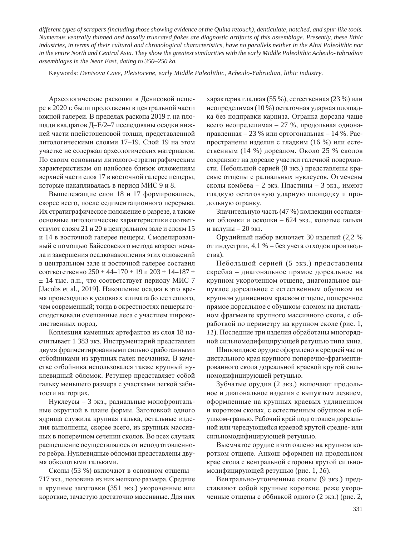*different types of scrapers (including those showing evidence of the Quina retouch), denticulate, notched, and spur-like tools. Numerous ventrally thinned and basally truncated À akes are diagnostic artifacts of this assemblage. Presently, these lithic industries, in terms of their cultural and chronological characteristics, have no parallels neither in the Altai Paleolithic nor in the entire North and Central Asia. They show the greatest similarities with the early Middle Paleolithic Acheulo-Yabrudian assemblages in the Near East, dating to 350–250 ka.*

Keywords: *Denisova Cave, Pleistocene, early Middle Paleolithic, Acheulo-Yabrudian, lithic industry.*

Археологические раскопки в Денисовой пещере в 2020 г. были продолжены в центральной части южной галереи. В пределах раскопа 2019 г. на площади квадратов Д-Е/2–7 исследованы осадки нижней части плейстоценовой толщи, представленной литологическими слоями 17–19. Слой 19 на этом участке не содержал археологических материалов. По своим основным литолого-стратиграфическим характеристикам он наиболее близок отложениям верхней части слоя 17 в восточной галерее пещеры, которые накапливалась в период МИС 9 и 8.

Вышележащие слои 18 и 17 формировались, скорее всего, после седиментационного перерыва. Их стратиграфическое положение в разрезе, а также основные литологические характеристики соответствуют слоям 21 и 20 в центральном зале и слоям 15 и 14 в восточной галерее пещеры. Смоделированный с помощью Байесовского метода возраст начала и завершения осадконакопления этих отложений в центральном зале и восточной галерее составил соответственно  $250 \pm 44 - 170 \pm 19$  и  $203 \pm 14 - 187 \pm 19$  $±$  14 тыс. л.н., что соответствует периоду МИС 7 [Jacobs et al., 2019]. Накопление осадка в это время происходило в условиях климата более теплого, чем современный; тогда в окрестностях пещеры господствовали смешанные леса с участием широколиственных пород.

Коллекция каменных артефактов из слоя 18 насчитывает 1 383 экз. Инструментарий представлен двумя фрагментированными сильно сработанными отбойниками из крупных галек песчаника. В качестве отбойника использовался также крупный нуклевидный обломок. Ретушер представляет собой гальку меньшего размера с участками легкой забитости на торцах.

Нуклеусы – 3 экз., радиальные монофронтальные округлой в плане формы. Заготовкой одного ядрища служила крупная галька, остальные изделия выполнены, скорее всего, из крупных массивных в поперечном сечении сколов. Во всех случаях расщепление осуществлялось от неподготовленного ребра. Нуклевидные обломки представлены двумя обколотыми гальками.

Сколы (53 %) включают в основном отщепы -717 экз., половина из них мелкого размера. Средние и крупные заготовки (351 экз.) укороченные или короткие, зачастую достаточно массивные. Для них характерна гладкая (55 %), естественная (23 %) или неопределимая (10 %) остаточная ударная площадка без подправки карниза. Огранка дорсала чаще всего неопределимая – 27 %, продольная однонаправленная – 23 % или ортогональная – 14 %. Распространены изделия с гладким (16 %) или естественным (14 %) дорсалом. Около 25 % сколов сохраняют на дорсале участки галечной поверхности. Небольшой серией (8 экз.) представлены краевые отщепы с радиальных нуклеусов. Отмечены сколы комбева – 2 экз. Пластины – 3 экз., имеют гладкую остаточную ударную площадку и продольную огранку.

Значительную часть (47 %) коллекции составляют обломки и осколки – 624 экз., колотые гальки и валуны – 20 экз.

Орудийный набор включает 30 изделий (2,2 % от индустрии, 4,1 % – без учета отходов производства).

Небольшой серией (5 экз.) представлены скребла – диагональное прямое дорсальное на крупном укороченном отщепе, диагональное выпуклое дорсальное с естественным обушком на крупном удлиненном краевом отщепе, поперечное прямое дорсальное с обушком-сломом на дистальном фрагменте крупного массивного скола, с обработкой по периметру на крупном сколе (рис. 1, *11*). Последние три изделия обработаны многорядной сильномодифицирующей ретушью типа кина.

Шиповидное орудие оформлено в средней части дистального края крупного поперечно-фрагментированного скола дорсальной краевой крутой сильномодифицирующей ретушью.

Зубчатые орудия (2 экз.) включают продольное и диагональное изделия с выпуклым лезвием, оформленные на крупных краевых удлиненном и коротком сколах, с естественным обушком и обушком-гранью. Рабочий край подготовлен дорсальной или чередующейся краевой крутой средне- или сильномодифицирующей ретушью.

Выемчатое орудие изготовлено на крупном коротком отщепе. Анкош оформлен на продольном крае скола с вентральной стороны крутой сильномодифицирующей ретушью (рис. 1, 16).

Вентрально-утонченные сколы (9 экз.) представляют собой крупные короткие, реже укороченные отщепы с оббивкой одного (2 экз.) (рис. 2,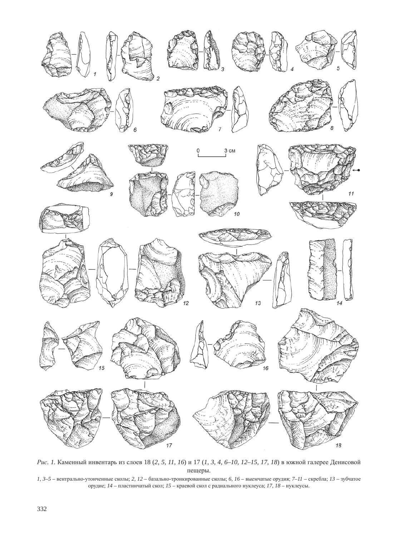

*Рис. 1.* Каменный инвентарь из слоев 18 (2, 5, 11, 16) и 17 (1, 3, 4, 6–10, 12–15, 17, 18) в южной галерее Денисовой пещеры.

*1, 3-5* – вентрально-утонченные сколы; 2, 12 – базально-тронкированные сколы; 6, 16 – выемчатые орудия; 7–11 – скребла; 13 – зубчатое орудие; *14* – пластинчатый скол; *15* – краевой скол с радиального нуклеуса; *17*, *18* – нуклеусы.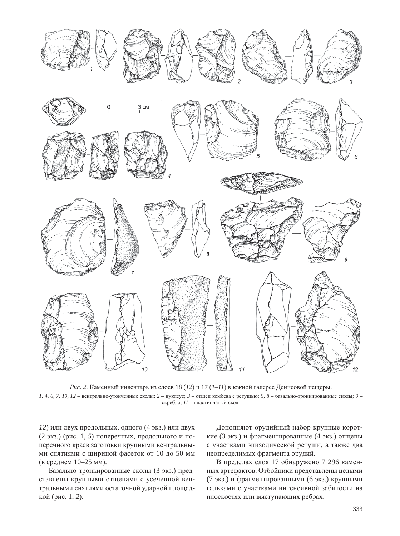

*Рис.* 2. Каменный инвентарь из слоев 18 (12) и 17 (1–11) в южной галерее Денисовой пещеры. *1, 4, 6, 7, 10, 12* – вентрально-утонченные сколы; 2 – нуклеус; 3 – отщеп комбева с ретушью; 5, 8 – базально-тронкированные сколы; 9 – скребло;  $11$  – пластинчатый скол.

12) или двух продольных, одного (4 экз.) или двух (2 экз.) (рис. 1, 5) поперечных, продольного и поперечного краев заготовки крупными вентральными снятиями с шириной фасеток от 10 до 50 мм (в среднем 10–25 мм).

Базально-тронкированные сколы (3 экз.) представлены крупными отщепами с усеченной вентральными снятиями остаточной ударной площадкой (рис. 1, 2).

Дополняют орудийный набор крупные короткие (3 экз.) и фрагментированные (4 экз.) отщепы с участками эпизодической ретуши, а также два неопределимых фрагмента орудий.

В пределах слоя 17 обнаружено 7 296 каменных артефактов. Отбойники представлены целыми (7 экз.) и фрагментированными (6 экз.) крупными гальками с участками интенсивной забитости на плоскостях или выступающих ребрах.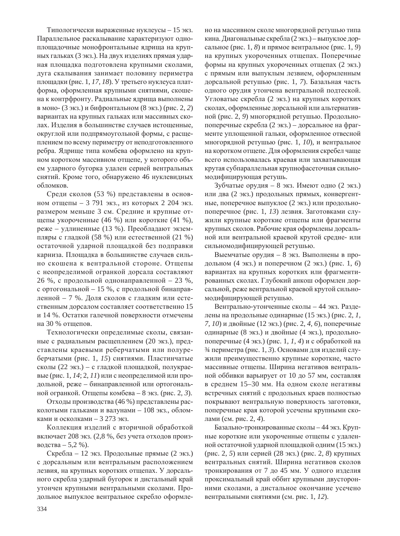Типологически выраженные нуклеусы – 15 экз. Параллельное раскалывание характеризуют одноплощадочные монофронтальные ядрища на крупных гальках (3 экз.). На двух изделиях прямая ударная площадка подготовлена крупными сколами, дуга скалывания занимает половину периметра площадки (рис. 1, *17, 18*). У третьего нуклеуса платформа, оформленная крупными снятиями, скошена к контрфронту. Радиальные ядрища выполнены в моно- (3 экз.) и бифронтальном (8 экз.) (рис. 2, 2) вариантах на крупных гальках или массивных сколах. Изделия в большинстве случаев истощенные, округлой или подпрямоугольной формы, с расщеплением по всему периметру от неподготовленного ребра. Ядрище типа комбева оформлено на крупном коротком массивном отщепе, у которого объем ударного бугорка удален серией вентральных снятий. Кроме того, обнаружено 46 нуклевидных  $0.6\pi$   $0.8\pi$ 

Среди сколов (53 %) представлены в основном отщепы – 3 791 экз., из которых 2 204 экз. размером меньше 3 см. Средние и крупные отщепы укороченные (46 %) или короткие (41 %), реже – удлиненные (13 %). Преобладают экземпляры с гладкой (58 %) или естественной (21 %) остаточной ударной площадкой без подправки карниза. Площадка в большинстве случаев сильно скошена к вентральной стороне. Отщепы с неопределимой огранкой дорсала составляют 26 %, с продольной однонаправленной – 23 %, с ортогональной – 15 %, с продольной бинаправленной – 7 %. Доля сколов с гладким или естественным дорсалом составляет соответственно 15 и 14 %. Остатки галечной поверхности отмечены на 30 % отщепов.

Технологически определимые сколы, связанные с радиальным расщеплением (20 экз.), представлены краевыми реберчатыми или полуреберчатыми (рис. 1, 15) снятиями. Пластинчатые сколы (22 экз.) – с гладкой площадкой, полукраевые (рис. 1, *14*; 2, *11*) или с неопределимой или продольной, реже – бинаправленной или ортогональной огранкой. Отщепы комбева – 8 экз. (рис. 2, 3).

Отходы производства (46 %) представлены расколотыми гальками и валунами – 108 экз., обломками и осколками – 3 273 экз.

Коллекция изделий с вторичной обработкой включает 208 экз. (2,8 %, без учета отходов производства – 5,2 %).

Скребла – 12 экз. Продольные прямые (2 экз.) с дорсальным или вентральным расположением лезвия, на крупных коротких отщепах. У дорсального скребла ударный бугорок и дистальный край утончен крупными вентральными сколами. Продольное выпуклое вентральное скребло оформлено на массивном сколе многорядной ретушью типа кина. Диагональные скребла (2 экз.) – выпуклое дорсальное (рис. 1, 8) и прямое вентральное (рис. 1, 9) на крупных укороченных отщепах. Поперечные формы на крупных укороченных отщепах (2 экз.) с прямым или выпуклым лезвием, оформленным дорсальной ретушью (рис. 1, 7). Базальная часть одного орудия утончена вентральной подтеской. Угловатые скребла (2 экз.) на крупных коротких сколах, оформленные дорсальной или альтернативной (рис. 2, 9) многорядной ретушью. Продольнопоперечные скребла (2 экз.) – дорсальное на фрагменте уплощенной гальки, оформленное отвесной многорядной ретушью (рис. 1, *10*), и вентральное на коротком отщепе. Для оформления скребел чаще всего использовалась краевая или захватывающая крутая субпараллельная крупнофасеточная сильномодифицирующая ретушь.

Зубчатые орудия – 8 экз. Имеют одно (2 экз.) или два (2 экз.) продольных прямых, конвергентные, поперечное выпуклое (2 экз.) или продольнопоперечное (рис. 1, 13) лезвия. Заготовками служили крупные короткие отщепы или фрагменты крупных сколов. Рабочие края оформлены дорсальной или вентральной краевой крутой средне- или сильномодифицирующей ретушью.

Выемчатые орудия – 8 экз. Выполнены в продольном (4 экз.) и поперечном (2 экз.) (рис. 1, 6) вариантах на крупных коротких или фрагментированных сколах. Глубокий анкош оформлен дорсальной, реже вентральной краевой крутой сильномодифицирующей ретушью.

Вентрально-утонченные сколы - 44 экз. Разделены на продольные одинарные (15 экз.) (рис. 2, 1, 7, 10) и двойные (12 экз.) (рис. 2, 4, 6), поперечные одинарные (8 экз.) и двойные (4 экз.), продольнопоперечные (4 экз.) (рис. 1, *1*, *4*) и с обработкой на  $\frac{3}{4}$  периметра (рис. 1, 3). Основами для изделий служили преимущественно крупные короткие, часто массивные отщепы. Ширина негативов вентральной оббивки варьирует от 10 до 57 мм, составляя в среднем 15–30 мм. На одном сколе негативы встречных снятий с продольных краев полностью покрывают вентральную поверхность заготовки, поперечные края которой усечены крупными сколами (см. рис. 2, 4).

Базально-тронкированные сколы - 44 экз. Крупные короткие или укороченные отщепы с удаленной остаточной ударной площадкой одним (15 экз.) (рис. 2, 5) или серией (28 экз.) (рис. 2, 8) крупных вентральных снятий. Ширина негативов сколов тронкирования от 7 до 45 мм. У одного изделия проксимальный край оббит крупными двусторонними сколами, а дистальное окончание усечено вентральными снятиями (см. рис. 1, 12).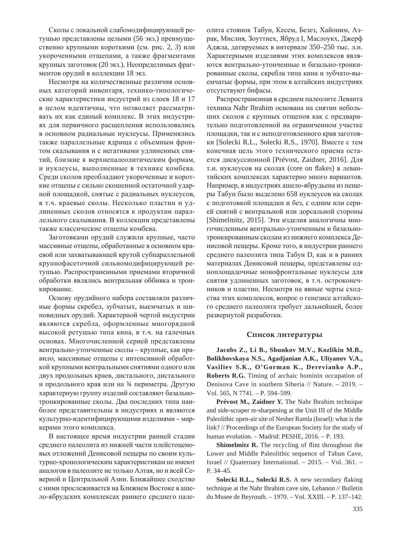Сколы с локальной слабомодифицирующей ретушью представлены целыми (56 экз.) преимущественно крупными короткими (см. рис. 2, 3) или укороченными отщепами, а также фрагментами крупных заготовок (20 экз.). Неопределимых фрагментов орудий в коллекции 18 экз.

Несмотря на количественные различия основных категорий инвентаря, технико-типологические характеристики индустрий из слоев 18 и 17 в целом идентичны, что позволяет рассматривать их как единый комплекс. В этих индустриях для первичного расщепления использовались в основном радиальные нуклеусы. Применялись также параллельные ядрища с объемным фронтом скалывания и с негативами уллиненных снятий, близкие к верхнепалеолитическим формам, и нуклеусы, выполненные в технике комбева. Среди сколов преобладают укороченные и короткие отщепы с сильно скошенной остаточной ударной площадкой, снятые с радиальных нуклеусов, в т.ч. краевые сколы. Несколько пластин и удлиненных сколов относятся к продуктам параллельного скалывания. В коллекции представлены также классические отщепы комбева.

Заготовками орудий служили крупные, часто массивные отщепы, обработанные в основном краевой или захватывающей крутой субпараллельной крупнофасеточной сильномодифицирующей ретушью. Распространенными приемами вторичной обработки являлись вентральная оббивка и тронкирование.

Основу орудийного набора составляли различные формы скребел, зубчатых, выемчатых и шиповидных орудий. Характерной чертой индустрии являются скребла, оформленные многорядной высокой ретушью типа кина, в т.ч. на галечных основах. Многочисленной серией представлены вентрально-утонченные сколы – крупные, как правило, массивные отщепы с интенсивной обработкой крупными вентральными снятиями одного или двух продольных краев, дистального, дистального и продольного края или на 3⁄4 периметра. Другую характерную группу изделий составляют базальнотронкированные сколы. Два последних типа наиболее представительны в индустриях и являются культурно-идентифицирующими изделиями – маркерами этого комплекса.

В настоящее время индустрии ранней стадии среднего палеолита из нижней части плейстоценовых отложений Денисовой пещеры по своим культурно-хронологическим характеристикам не имеют аналогов в палеолите не только Алтая, но и всей Северной и Центральной Азии. Ближайшее сходство с ними прослеживается на Ближнем Востоке в ашело-ябрудских комплексах раннего среднего палеолита стоянок Табун, Кесем, Безез, Хайоним, Азрак, Мислия, Зоуттиех, Ябруд I, Маслоукх, Джерф Аджла, датируемых в интервале 350–250 тыс. л.н. Характерными изделиями этих комплексов являются вентрально-утонченные и базально-тронкированные сколы, скребла типа кина и зубчато-выемчатые формы, при этом в алтайских индустриях отсутствуют бифасы.

Распространенная в среднем палеолите Леванта техника Nahr Ibrahim основана на снятии небольших сколов с крупных отщепов как с предварительно подготовленной на ограниченном участке площадки, так и с неподготовленного края заготовки [Solecki R.L., Solecki R.S., 1970]. Вместе с тем конечная цель этого технического приема остается дискуссионной [Prévost, Zaidner, 2016]. Для т.н. нуклеусов на сколах (core on flakes) в левантийских комплексах характерно много вариантов. Например, в индустриях ашело-ябрудьена из пещеры Табун было выделено 658 нуклеусов на сколах с подготовкой площадки и без, с одним или серией снятий с вентральной или дорсальной стороны [Shimelmitz, 2015]. Эти изделия аналогичны многочисленным вентрально-утонченным и базальнотронкированным сколам из нижнего комплекса Денисовой пещеры. Кроме того, в индустрии раннего среднего палеолита типа Табун D, как и в ранних материалах Денисовой пещеры, представлены одноплощадочные монофронтальные нуклеусы для снятия удлиненных заготовок, в т.ч. остроконечников и пластин. Несмотря на явные черты сходства этих комплексов, вопрос о генезисе алтайского среднего палеолита требует дальнейшей, более развернутой разработки.

#### Список литературы

**Jacobs Z., Li B., Shunkov M.V., Kozlikin M.B., Bolikhovskaya N.S., Agadjanian A.K., Uliyanov V.A., Vasiliev S.K., O'Gorman K., Derevianko A.P., Roberts R.G.** Timing of archaic hominin occupation of Denisova Cave in southern Siberia // Nature. – 2019. – Vol. 565, N 7741. – P. 594–599.

**Prévost M., Zaidner Y.** The Nahr Ibrahim technique and side-scraper re-sharpening at the Unit III of the Middle Paleolithic open-air site of Nesher Ramla (Israel): what is the link? // Proceedings of the European Society for the study of human evolution. – Madrid: PESHE, 2016. – P. 193.

**Shimelmitz R.** The recycling of flint throughout the Lower and Middle Paleolithic sequence of Tabun Cave, Israel // Quaternary International. – 2015. – Vol. 361. – P. 34–45.

Solecki R.L., Solecki R.S. A new secondary flaking technique at the Nahr Ibrahim cave site, Lebanon // Bulletin du Musee de Beyrouth. – 1970. – Vol. XXIII. – P. 137–142.